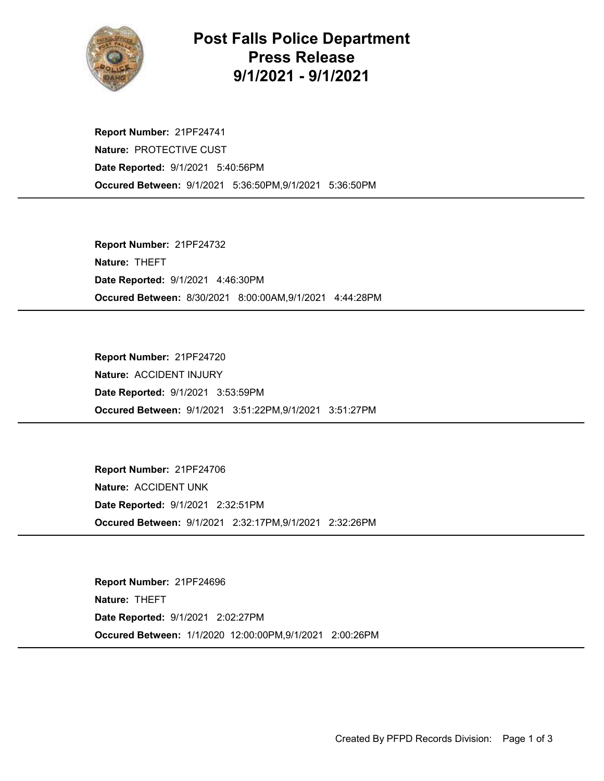

## Post Falls Police Department Press Release 9/1/2021 - 9/1/2021

Occured Between: 9/1/2021 5:36:50PM,9/1/2021 5:36:50PM Report Number: 21PF24741 Nature: PROTECTIVE CUST Date Reported: 9/1/2021 5:40:56PM

Occured Between: 8/30/2021 8:00:00AM,9/1/2021 4:44:28PM Report Number: 21PF24732 Nature: THEFT Date Reported: 9/1/2021 4:46:30PM

Occured Between: 9/1/2021 3:51:22PM,9/1/2021 3:51:27PM Report Number: 21PF24720 Nature: ACCIDENT INJURY Date Reported: 9/1/2021 3:53:59PM

Occured Between: 9/1/2021 2:32:17PM,9/1/2021 2:32:26PM Report Number: 21PF24706 Nature: ACCIDENT UNK Date Reported: 9/1/2021 2:32:51PM

Occured Between: 1/1/2020 12:00:00PM,9/1/2021 2:00:26PM Report Number: 21PF24696 Nature: THEFT Date Reported: 9/1/2021 2:02:27PM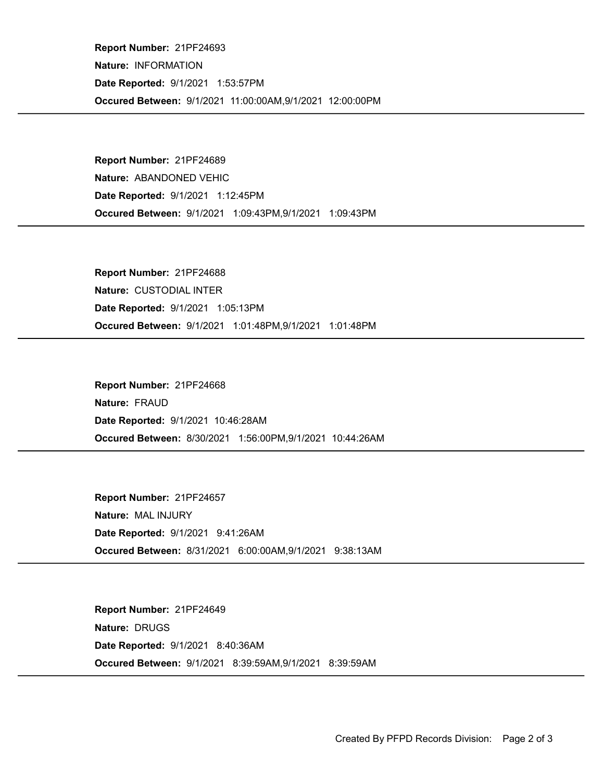Occured Between: 9/1/2021 11:00:00AM,9/1/2021 12:00:00PM Report Number: 21PF24693 Nature: INFORMATION Date Reported: 9/1/2021 1:53:57PM

Occured Between: 9/1/2021 1:09:43PM,9/1/2021 1:09:43PM Report Number: 21PF24689 Nature: ABANDONED VEHIC Date Reported: 9/1/2021 1:12:45PM

Occured Between: 9/1/2021 1:01:48PM,9/1/2021 1:01:48PM Report Number: 21PF24688 Nature: CUSTODIAL INTER Date Reported: 9/1/2021 1:05:13PM

Occured Between: 8/30/2021 1:56:00PM,9/1/2021 10:44:26AM Report Number: 21PF24668 Nature: FRAUD Date Reported: 9/1/2021 10:46:28AM

Occured Between: 8/31/2021 6:00:00AM,9/1/2021 9:38:13AM Report Number: 21PF24657 Nature: MAL INJURY Date Reported: 9/1/2021 9:41:26AM

Occured Between: 9/1/2021 8:39:59AM,9/1/2021 8:39:59AM Report Number: 21PF24649 Nature: DRUGS Date Reported: 9/1/2021 8:40:36AM